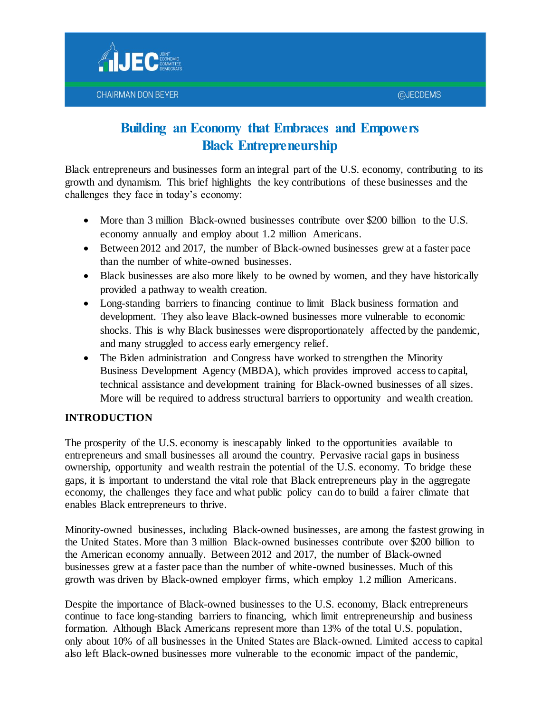

Black entrepreneurs and businesses form an integral part of the U.S. economy, contributing to its growth and dynamism. This brief highlights the key contributions of these businesses and the challenges they face in today's economy:

- More than 3 million Black-owned businesses contribute over \$200 billion to the U.S. economy annually and employ about 1.2 million Americans.
- Between 2012 and 2017, the number of Black-owned businesses grew at a faster pace than the number of white-owned businesses.
- Black businesses are also more likely to be owned by women, and they have historically provided a pathway to wealth creation.
- Long-standing barriers to financing continue to limit Black business formation and development. They also leave Black-owned businesses more vulnerable to economic shocks. This is why Black businesses were disproportionately affected by the pandemic, and many struggled to access early emergency relief.
- The Biden administration and Congress have worked to strengthen the Minority Business Development Agency (MBDA), which provides improved access to capital, technical assistance and development training for Black-owned businesses of all sizes. More will be required to address structural barriers to opportunity and wealth creation.

## **INTRODUCTION**

The prosperity of the U.S. economy is inescapably linked to the opportunities available to entrepreneurs and small businesses all around the country. Pervasive racial gaps in business ownership, opportunity and wealth restrain the potential of the U.S. economy. To bridge these gaps, it is important to understand the vital role that Black entrepreneurs play in the aggregate economy, the challenges they face and what public policy can do to build a fairer climate that enables Black entrepreneurs to thrive.

Minority-owned businesses, including Black-owned businesses, are among the fastest growing in the United States. More than 3 million Black-owned businesses contribute over \$200 billion to the American economy annually. Between 2012 and 2017, the number of Black-owned businesses grew at a faster pace than the number of white-owned businesses. Much of this growth was driven by Black-owned employer firms, which employ 1.2 million Americans.

Despite the importance of Black-owned businesses to the U.S. economy, Black entrepreneurs continue to face long-standing barriers to financing, which limit entrepreneurship and business formation. Although Black Americans represent more than 13% of the total U.S. population, only about 10% of all businesses in the United States are Black-owned. Limited access to capital also left Black-owned businesses more vulnerable to the economic impact of the pandemic,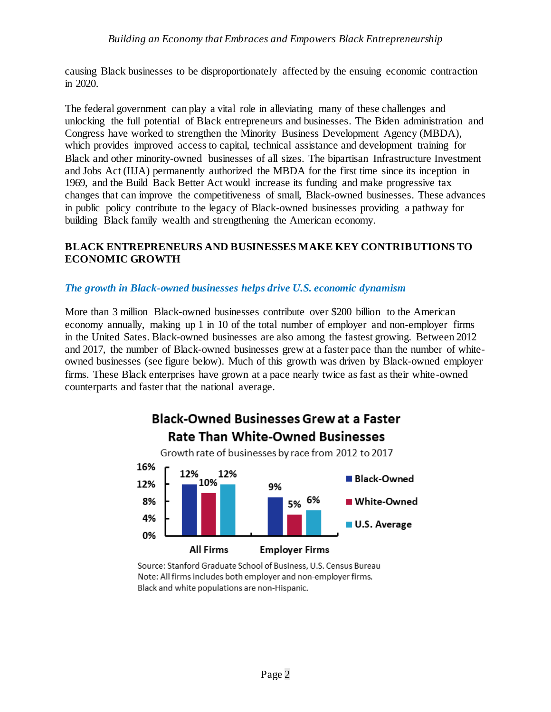causing Black businesses to be disproportionately affected by the ensuing economic contraction in 2020.

The federal government can play a vital role in alleviating many of these challenges and unlocking the full potential of Black entrepreneurs and businesses. The Biden administration and Congress have worked to strengthen the Minority Business Development Agency (MBDA), which provides improved access to capital, technical assistance and development training for Black and other minority-owned businesses of all sizes. The bipartisan Infrastructure Investment and Jobs Act (IIJA) permanently authorized the MBDA for the first time since its inception in 1969, and the Build Back Better Act would increase its funding and make progressive tax changes that can improve the competitiveness of small, Black-owned businesses. These advances in public policy contribute to the legacy of Black-owned businesses providing a pathway for building Black family wealth and strengthening the American economy.

### **BLACK ENTREPRENEURS AND BUSINESSES MAKE KEY CONTRIBUTIONS TO ECONOMIC GROWTH**

#### *The growth in Black-owned businesses helps drive U.S. economic dynamism*

More than 3 million Black-owned businesses contribute over \$200 billion to the American economy annually, making up 1 in 10 of the total number of employer and non-employer firms in the United Sates. Black-owned businesses are also among the fastest growing. Between 2012 and 2017, the number of Black-owned businesses grew at a faster pace than the number of whiteowned businesses (see figure below). Much of this growth was driven by Black-owned employer firms. These Black enterprises have grown at a pace nearly twice as fast as their white-owned counterparts and faster that the national average.



Source: Stanford Graduate School of Business, U.S. Census Bureau Note: All firms includes both employer and non-employer firms. Black and white populations are non-Hispanic.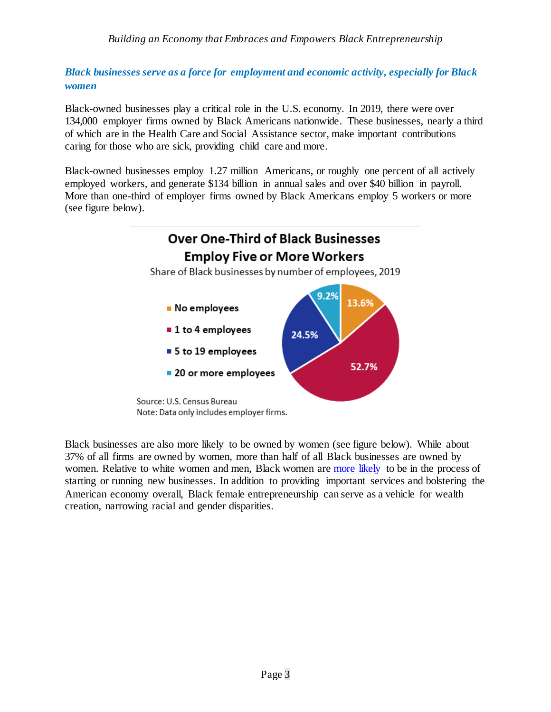*Black businesses serve as a force for employment and economic activity, especially for Black women*

Black-owned businesses play a critical role in the U.S. economy. In 2019, there were over 134,000 employer firms owned by Black Americans nationwide. These businesses, nearly a third of which are in the Health Care and Social Assistance sector, make important contributions caring for those who are sick, providing child care and more.

Black-owned businesses employ 1.27 million Americans, or roughly one percent of all actively employed workers, and generate \$134 billion in annual sales and over \$40 billion in payroll. More than one-third of employer firms owned by Black Americans employ 5 workers or more (see figure below).

## **Over One-Third of Black Businesses Employ Five or More Workers**

Share of Black businesses by number of employees, 2019



Black businesses are also more likely to be owned by women (see figure below). While about 37% of all firms are owned by women, more than half of all Black businesses are owned by women. Relative to white women and men, Black women are [more likely](https://hbr.org/2021/05/black-women-are-more-likely-to-start-a-business-than-white-men%22%20/o%20%22https:/hbr.org/2021/05/black-women-are-more-likely-to-start-a-business-than-white-men%22%20/t%20%22_blank) to be in the process of starting or running new businesses. In addition to providing important services and bolstering the American economy overall, Black female entrepreneurship can serve as a vehicle for wealth creation, narrowing racial and gender disparities.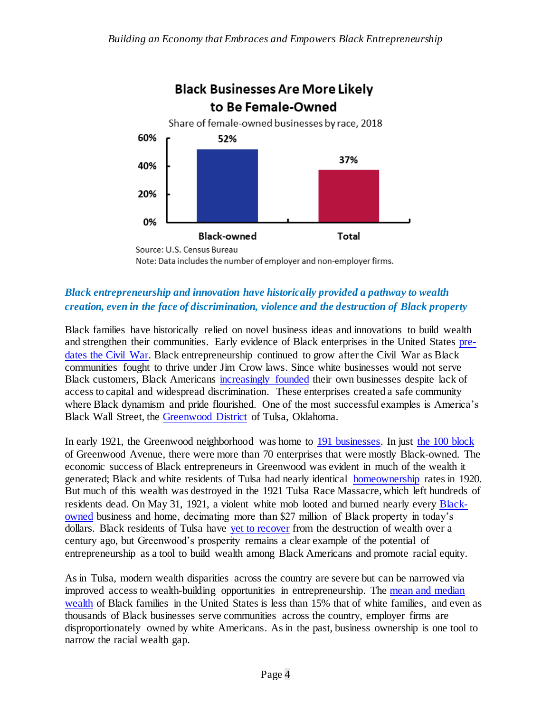



## *Black entrepreneurship and innovation have historically provided a pathway to wealth creation, even in the face of discrimination, violence and the destruction of Black property*

Black families have historically relied on novel business ideas and innovations to build wealth and strengthen their communities. Early evidence of Black enterprises in the United States [pre](https://www.jstor.org/stable/3115882)dates [the Civil War.](https://www.jstor.org/stable/3115882) Black entrepreneurship continued to grow after the Civil War as Black communities fought to thrive under Jim Crow laws. Since white businesses would not serve Black customers, Black Americans [increasingly founded](https://www.ferris.edu/HTMLS/news/jimcrow/question/2021/may.htm) their own businesses despite lack of access to capital and widespread discrimination. These enterprises created a safe community where Black dynamism and pride flourished. One of the most successful examples is America's Black Wall Street, the [Greenwood District](https://www.jec.senate.gov/public/index.cfm/democrats/2021/5/the-economic-legacy-of-the-1921-tulsa-race-massacre-today-s-racial-wealth-gap) of Tulsa, Oklahoma.

In early 1921, the Greenwood neighborhood was home to [191 businesses.](https://scholar.harvard.edu/files/nunn/files/tulsa.pdf) In just [the 100 block](https://www.nytimes.com/interactive/2021/05/24/us/tulsa-race-massacre.html) of Greenwood Avenue, there were more than 70 enterprises that were mostly Black-owned. The economic success of Black entrepreneurs in Greenwood was evident in much of the wealth it generated; Black and white residents of Tulsa had nearly identical [homeownership](https://www.theguardian.com/us-news/2021/may/31/tulsa-massacre-descendants-callout-stories) rates in 1920. But much of this wealth was destroyed in the 1921 Tulsa Race Massacre, which left hundreds of residents dead. On May 31, 1921, a violent white mob looted and burned nearly every [Black](https://scholar.harvard.edu/files/nunn/files/tulsa.pdf)[owned](https://scholar.harvard.edu/files/nunn/files/tulsa.pdf) business and home, decimating more than \$27 million of Black property in today's dollars. Black residents of Tulsa have [yet to recover](https://drive.google.com/file/d/1jJ3vTM1041sAxL4YGerghcQRT9TpUpiw/view) from the destruction of wealth over a century ago, but Greenwood's prosperity remains a clear example of the potential of entrepreneurship as a tool to build wealth among Black Americans and promote racial equity.

As in Tulsa, modern wealth disparities across the country are severe but can be narrowed via improved access to wealth-building opportunities in entrepreneurship. The [mean and median](https://www.jec.senate.gov/public/_cache/files/3847c763-bd17-45c4-be82-ba38a2d1f94e/racial-wealth-gap-and-tulsa---final2.pdf) [wealth](https://www.jec.senate.gov/public/_cache/files/3847c763-bd17-45c4-be82-ba38a2d1f94e/racial-wealth-gap-and-tulsa---final2.pdf) of Black families in the United States is less than 15% that of white families, and even as thousands of Black businesses serve communities across the country, employer firms are disproportionately owned by white Americans. As in the past, business ownership is one tool to narrow the racial wealth gap.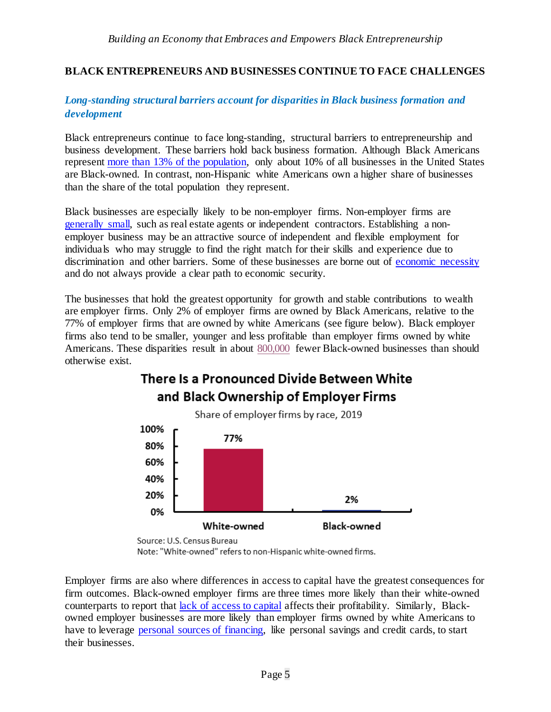### **BLACK ENTREPRENEURS AND BUSINESSES CONTINUE TO FACE CHALLENGES**

### *Long-standing structural barriers account for disparities in Black business formation and development*

Black entrepreneurs continue to face long-standing, structural barriers to entrepreneurship and business development. These barriers hold back business formation. Although Black Americans represent [more than 13% of the population,](https://www.census.gov/quickfacts/fact/table/US/PST045221) only about 10% of all businesses in the United States are Black-owned. In contrast, non-Hispanic white Americans own a higher share of businesses than the share of the total population they represent.

Black businesses are especially likely to be non-employer firms. Non-employer firms are [generally small,](https://www.fedsmallbusiness.org/medialibrary/FedSmallBusiness/files/2021/2021-sbcs-nonemployer-firms-report) such as real estate agents or independent contractors. Establishing a nonemployer business may be an attractive source of independent and flexible employment for individuals who may struggle to find the right match for their skills and experience due to discrimination and other barriers. Some of these businesses are borne out of [economic necessity](https://entrepreneurship.mit.edu/necessity-vs-innovation-based-entrepreneurs/) and do not always provide a clear path to economic security.

The businesses that hold the greatest opportunity for growth and stable contributions to wealth are employer firms. Only 2% of employer firms are owned by Black Americans, relative to the 77% of employer firms that are owned by white Americans (see figure below). Black employer firms also tend to be smaller, younger and less profitable than employer firms owned by white Americans. These disparities result in about [800,000](https://www.brookings.edu/essay/to-expand-the-economy-invest-in-black-businesses/) fewer Black-owned businesses than should otherwise exist.

# There Is a Pronounced Divide Between White and Black Ownership of Employer Firms



Note: "White-owned" refers to non-Hispanic white-owned firms.

Employer firms are also where differences in access to capital have the greatest consequences for firm outcomes. Black-owned employer firms are three times more likely than their white-owned counterparts to report that [lack of access](https://www.gsb.stanford.edu/sites/default/files/publication/pdfs/spotlight-2021-may-us-black-owned-businesses-pre-pandemic_3.pdf) to capital affects their profitability. Similarly, Blackowned employer businesses are more likely than employer firms owned by white Americans to have to leverage [personal sources of financing,](https://www.gsb.stanford.edu/sites/default/files/publication/pdfs/spotlight-2021-may-us-black-owned-businesses-pre-pandemic_3.pdf) like personal savings and credit cards, to start their businesses.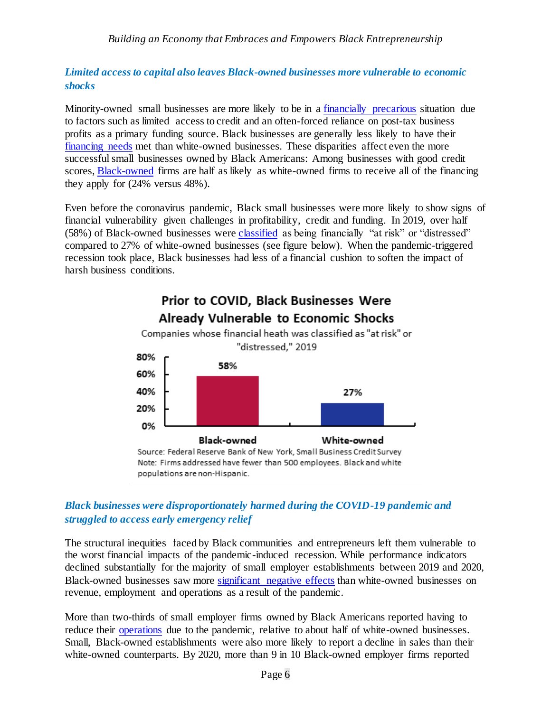### *Limited access to capital also leaves Black-owned businesses more vulnerable to economic shocks*

Minority-owned small businesses are more likely to be in a [financially precarious](https://www.fedsmallbusiness.org/medialibrary/FedSmallBusiness/files/2020/covid-brief.pdf) situation due to factors such as limited access to credit and an often-forced reliance on post-tax business profits as a primary funding source. Black businesses are generally less likely to have their [financing needs](https://www.fedsmallbusiness.org/medialibrary/FedSmallBusiness/files/2021/sbcs-report-on-firms-owned-by-people-of-color) met than white-owned businesses. These disparities affect even the more successful small businesses owned by Black Americans: Among businesses with good credit scores, [Black-owned](https://www.fedsmallbusiness.org/medialibrary/FedSmallBusiness/files/2021/sbcs-report-on-firms-owned-by-people-of-color) firms are half as likely as white-owned firms to receive all of the financing they apply for (24% versus 48%).

Even before the coronavirus pandemic, Black small businesses were more likely to show signs of financial vulnerability given challenges in profitability, credit and funding. In 2019, over half (58%) of Black-owned businesses were [classified](https://www.fedsmallbusiness.org/medialibrary/FedSmallBusiness/files/2020/covid-brief.pdf) as being financially "at risk" or "distressed" compared to 27% of white-owned businesses (see figure below). When the pandemic-triggered recession took place, Black businesses had less of a financial cushion to soften the impact of harsh business conditions.



*Black businesses were disproportionately harmed during the COVID-19 pandemic and struggled to access early emergency relief* 

The structural inequities faced by Black communities and entrepreneurs left them vulnerable to the worst financial impacts of the pandemic-induced recession. While performance indicators declined substantially for the majority of small employer establishments between 2019 and 2020, Black-owned businesses saw more [significant negative effects](https://www.newyorkfed.org/medialibrary/media/smallbusiness/DoubleJeopardy_COVID19andBlackOwnedBusinesses) than white-owned businesses on revenue, employment and operations as a result of the pandemic.

More than two-thirds of small employer firms owned by Black Americans reported having to reduce their [operations](https://www.fedsmallbusiness.org/medialibrary/FedSmallBusiness/files/2021/sbcs-report-on-firms-owned-by-people-of-color) due to the pandemic, relative to about half of white-owned businesses. Small, Black-owned establishments were also more likely to report a decline in sales than their white-owned counterparts. By 2020, more than 9 in 10 Black-owned employer firms reported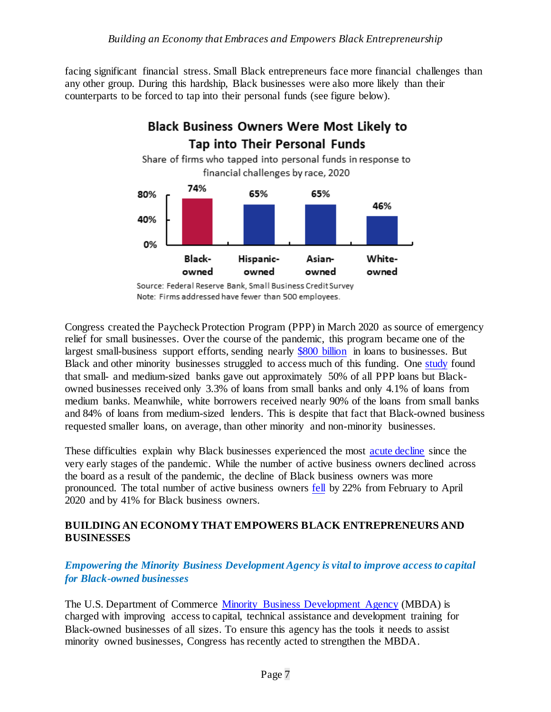facing significant financial stress. Small Black entrepreneurs face more financial challenges than any other group. During this hardship, Black businesses were also more likely than their counterparts to be forced to tap into their personal funds (see figure below).



Note: Firms addressed have fewer than 500 employees.

Congress created the Paycheck Protection Program (PPP) in March 2020 as source of emergency relief for small businesses. Over the course of the pandemic, this program became one of the largest small-business support efforts, sending nearly [\\$800 billion](https://www.sba.gov/sites/default/files/2021-06/PPP_Report_Public_210531-508.pdf) in loans to businesses. But Black and other minority businesses struggled to access much of this funding. One [study](https://www.nber.org/papers/w29364) found that small- and medium-sized banks gave out approximately 50% of all PPP loans but Blackowned businesses received only 3.3% of loans from small banks and only 4.1% of loans from medium banks. Meanwhile, white borrowers received nearly 90% of the loans from small banks and 84% of loans from medium-sized lenders. This is despite that fact that Black-owned business requested smaller loans, on average, than other minority and non-minority businesses.

These difficulties explain why Black businesses experienced the most [acute decline](https://www.newyorkfed.org/medialibrary/media/smallbusiness/DoubleJeopardy_COVID19andBlackOwnedBusinesses) since the very early stages of the pandemic. While the number of active business owners declined across the board as a result of the pandemic, the decline of Black business owners was more pronounced. The total number of active business owners [fell](https://www.newyorkfed.org/medialibrary/media/smallbusiness/DoubleJeopardy_COVID19andBlackOwnedBusinesses) by 22% from February to April 2020 and by 41% for Black business owners.

### **BUILDING AN ECONOMY THAT EMPOWERS BLACK ENTREPRENEURS AND BUSINESSES**

## *Empowering the Minority Business Development Agency is vital to improve access to capital for Black-owned businesses*

The U.S. Department of Commerce [Minority Business Development Agency](https://www.mbda.gov/who-we-are/overview) (MBDA) is charged with improving access to capital, technical assistance and development training for Black-owned businesses of all sizes. To ensure this agency has the tools it needs to assist minority owned businesses, Congress has recently acted to strengthen the MBDA.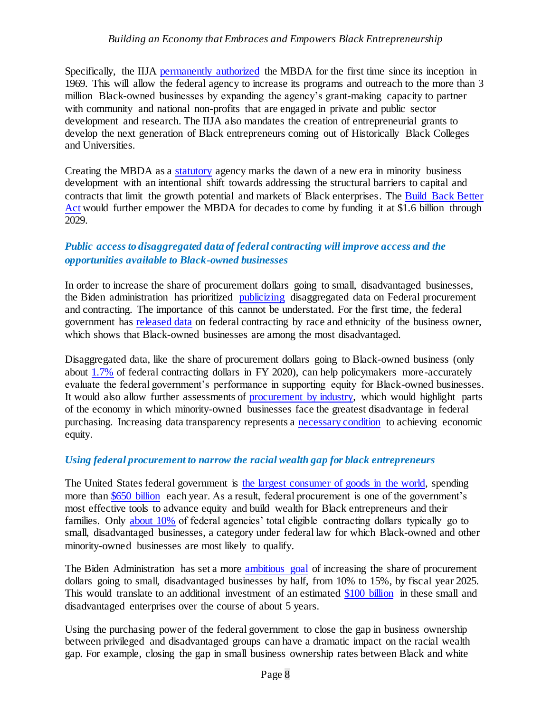Specifically, the IIJA [permanently authorized](https://www.commerce.gov/news/blog/2021/11/minority-business-development-agency-permanently-authorized-bipartisan) the MBDA for the first time since its inception in 1969. This will allow the federal agency to increase its programs and outreach to the more than 3 million Black-owned businesses by expanding the agency's grant-making capacity to partner with community and national non-profits that are engaged in private and public sector development and research. The IIJA also mandates the creation of entrepreneurial grants to develop the next generation of Black entrepreneurs coming out of Historically Black Colleges and Universities.

Creating the MBDA as a [statutory](https://www.commerce.gov/news/blog/2021/11/minority-business-development-agency-permanently-authorized-bipartisan) agency marks the dawn of a new era in minority business development with an intentional shift towards addressing the structural barriers to capital and contracts that limit the growth potential and markets of Black enterprises. The [Build Back Better](https://www.whitehouse.gov/briefing-room/statements-releases/2021/12/17/fact-sheet-the-biden-harris-administration-advances-equity-and-opportunity-for-black-people-and-communities-across-the-country-2/)  [Act](https://www.whitehouse.gov/briefing-room/statements-releases/2021/12/17/fact-sheet-the-biden-harris-administration-advances-equity-and-opportunity-for-black-people-and-communities-across-the-country-2/) would further empower the MBDA for decades to come by funding it at \$1.6 billion through 2029.

### *Public access to disaggregated data of federal contracting will improve access and the opportunities available to Black-owned businesses*

In order to increase the share of procurement dollars going to small, disadvantaged businesses, the Biden administration has prioritized [publicizing](https://www.whitehouse.gov/briefing-room/statements-releases/2021/12/02/fact-sheet-biden-harris-administration-announces-reforms-to-increase-equity-and-level-the-playing-field-for-underserved-small-business-owners/) disaggregated data on Federal procurement and contracting. The importance of this cannot be understated. For the first time, the federal government has [released data](https://www.whitehouse.gov/briefing-room/statements-releases/2021/12/02/fact-sheet-biden-harris-administration-announces-reforms-to-increase-equity-and-level-the-playing-field-for-underserved-small-business-owners/) on federal contracting by race and ethnicity of the business owner, which shows that Black-owned businesses are among the most disadvantaged.

Disaggregated data, like the share of procurement dollars going to Black-owned business (only about [1.7%](https://www.sba.gov/blog/sba-releases-fy-2020-disaggregated-contracting-data) of federal contracting dollars in FY 2020), can help policymakers more-accurately evaluate the federal government's performance in supporting equity for Black-owned businesses. It would also allow further assessments of [procurement by industry,](https://www.whitehouse.gov/cea/written-materials/2021/12/01/the-benefits-of-increased-equity-in-federal-contracting/) which would highlight parts of the economy in which minority-owned businesses face the greatest disadvantage in federal purchasing. Increasing data transparency represents a [necessary condition](https://www.whitehouse.gov/cea/written-materials/2021/12/01/the-benefits-of-increased-equity-in-federal-contracting/) to achieving economic equity.

#### *Using federal procurement to narrow the racial wealth gap for black entrepreneurs*

The United States federal government is [the largest consumer of goods in the world,](https://www.whitehouse.gov/briefing-room/statements-releases/2021/06/01/fact-sheet-biden-harris-administration-announces-new-actions-to-build-black-wealth-and-narrow-the-racial-wealth-gap/) spending more than [\\$650 billion](https://www.whitehouse.gov/briefing-room/statements-releases/2021/12/17/fact-sheet-the-biden-harris-administration-advances-equity-and-opportunity-for-black-people-and-communities-across-the-country-2/) each year. As a result, federal procurement is one of the government's most effective tools to advance equity and build wealth for Black entrepreneurs and their families. Only [about 10%](https://www.whitehouse.gov/briefing-room/statements-releases/2021/06/01/fact-sheet-biden-harris-administration-announces-new-actions-to-build-black-wealth-and-narrow-the-racial-wealth-gap/) of federal agencies' total eligible contracting dollars typically go to small, disadvantaged businesses, a category under federal law for which Black-owned and other minority-owned businesses are most likely to qualify.

The Biden Administration has set a more [ambitious goal](https://www.whitehouse.gov/briefing-room/statements-releases/2021/12/02/fact-sheet-biden-harris-administration-announces-reforms-to-increase-equity-and-level-the-playing-field-for-underserved-small-business-owners/) of increasing the share of procurement dollars going to small, disadvantaged businesses by half, from 10% to 15%, by fiscal year 2025. This would translate to an additional investment of an estimated [\\$100 billion](https://www.whitehouse.gov/briefing-room/statements-releases/2021/12/02/fact-sheet-biden-harris-administration-announces-reforms-to-increase-equity-and-level-the-playing-field-for-underserved-small-business-owners/) in these small and disadvantaged enterprises over the course of about 5 years.

Using the purchasing power of the federal government to close the gap in business ownership between privileged and disadvantaged groups can have a dramatic impact on the racial wealth gap. For example, closing the gap in small business ownership rates between Black and white